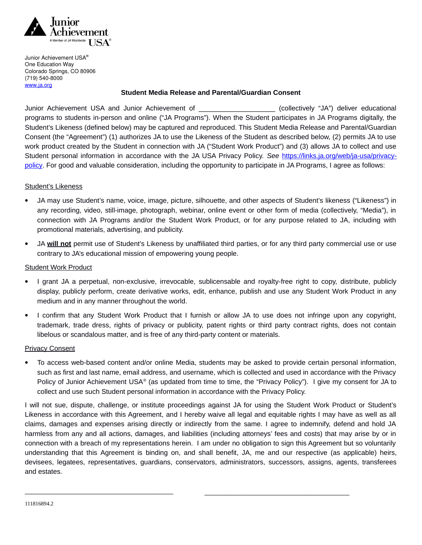

Junior Achievement USA® One Education Way Colorado Springs, CO 80906 (719) 540-8000 [www.ja.org](http://www.ja.org/)

## **Student Media Release and Parental/Guardian Consent**

Junior Achievement USA and Junior Achievement of \_\_\_\_\_\_\_\_\_\_\_\_\_\_\_\_\_\_\_\_ (collectively "JA") deliver educational programs to students in-person and online ("JA Programs"). When the Student participates in JA Programs digitally, the Student's Likeness (defined below) may be captured and reproduced. This Student Media Release and Parental/Guardian Consent (the "Agreement") (1) authorizes JA to use the Likeness of the Student as described below, (2) permits JA to use work product created by the Student in connection with JA ("Student Work Product") and (3) allows JA to collect and use Student personal information in accordance with the JA USA Privacy Policy. *See* [https://links.ja.org/web/ja-usa/privacy](https://links.ja.org/web/ja-usa/privacy-policy)[policy.](https://links.ja.org/web/ja-usa/privacy-policy) For good and valuable consideration, including the opportunity to participate in JA Programs, I agree as follows:

## Student's Likeness

- JA may use Student's name, voice, image, picture, silhouette, and other aspects of Student's likeness ("Likeness") in any recording, video, still-image, photograph, webinar, online event or other form of media (collectively, "Media"), in connection with JA Programs and/or the Student Work Product, or for any purpose related to JA, including with promotional materials, advertising, and publicity.
- JA **will not** permit use of Student's Likeness by unaffiliated third parties, or for any third party commercial use or use contrary to JA's educational mission of empowering young people.

## Student Work Product

- I grant JA a perpetual, non-exclusive, irrevocable, sublicensable and royalty-free right to copy, distribute, publicly display, publicly perform, create derivative works, edit, enhance, publish and use any Student Work Product in any medium and in any manner throughout the world.
- I confirm that any Student Work Product that I furnish or allow JA to use does not infringe upon any copyright, trademark, trade dress, rights of privacy or publicity, patent rights or third party contract rights, does not contain libelous or scandalous matter, and is free of any third-party content or materials.

## Privacy Consent

 To access web-based content and/or online Media, students may be asked to provide certain personal information, such as first and last name, email address, and username, which is collected and used in accordance with the Privacy Policy of Junior Achievement USA® (as updated from time to time, the "Privacy Policy"). I give my consent for JA to collect and use such Student personal information in accordance with the Privacy Policy.

I will not sue, dispute, challenge, or institute proceedings against JA for using the Student Work Product or Student's Likeness in accordance with this Agreement, and I hereby waive all legal and equitable rights I may have as well as all claims, damages and expenses arising directly or indirectly from the same. I agree to indemnify, defend and hold JA harmless from any and all actions, damages, and liabilities (including attorneys' fees and costs) that may arise by or in connection with a breach of my representations herein. I am under no obligation to sign this Agreement but so voluntarily understanding that this Agreement is binding on, and shall benefit, JA, me and our respective (as applicable) heirs, devisees, legatees, representatives, guardians, conservators, administrators, successors, assigns, agents, transferees and estates.

\_\_\_\_\_\_\_\_\_\_\_\_\_\_\_\_\_\_\_\_\_\_\_\_\_\_\_\_\_\_\_\_\_\_\_\_\_\_\_\_\_\_\_ \_\_\_\_\_\_\_\_\_\_\_\_\_\_\_\_\_\_\_\_\_\_\_\_\_\_\_\_\_\_\_\_\_\_\_\_\_\_\_\_\_\_